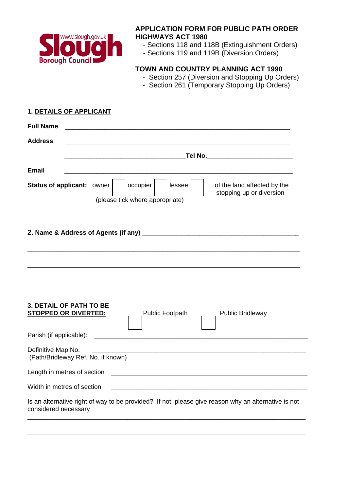

## **APPLICATION FORM FOR PUBLIC PATH ORDER HIGHWAYS ACT 1980**

- Sections 118 and 118B (Extinguishment Orders)
- Sections 119 and 119B (Diversion Orders)

# **TOWN AND COUNTRY PLANNING ACT 1990**

- Section 257 (Diversion and Stopping Up Orders)
- Section 261 (Temporary Stopping Up Orders)

#### **1. DETAILS OF APPLICANT**

| <b>Full Name</b>                                         |                                                                                                                  |  |  |
|----------------------------------------------------------|------------------------------------------------------------------------------------------------------------------|--|--|
| <b>Address</b>                                           |                                                                                                                  |  |  |
|                                                          | _Tel No.____________________________                                                                             |  |  |
| <b>Email</b>                                             |                                                                                                                  |  |  |
| <b>Status of applicant: owner</b>                        | occupier<br>lessee<br>of the land affected by the<br>stopping up or diversion<br>(please tick where appropriate) |  |  |
|                                                          |                                                                                                                  |  |  |
|                                                          |                                                                                                                  |  |  |
| 3. DETAIL OF PATH TO BE<br><b>STOPPED OR DIVERTED:</b>   | Public Footpath<br><b>Public Bridleway</b>                                                                       |  |  |
| Parish (if applicable):                                  |                                                                                                                  |  |  |
| Definitive Map No.<br>(Path/Bridleway Ref. No. if known) |                                                                                                                  |  |  |
| Length in metres of section                              |                                                                                                                  |  |  |
| Width in metres of section                               |                                                                                                                  |  |  |
| considered necessary                                     | Is an alternative right of way to be provided? If not, please give reason why an alternative is not              |  |  |

\_\_\_\_\_\_\_\_\_\_\_\_\_\_\_\_\_\_\_\_\_\_\_\_\_\_\_\_\_\_\_\_\_\_\_\_\_\_\_\_\_\_\_\_\_\_\_\_\_\_\_\_\_\_\_\_\_\_\_\_\_\_\_\_\_\_\_\_\_\_\_\_\_\_\_\_\_\_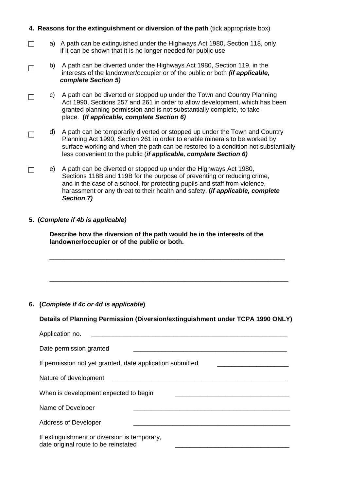### **4. Reasons for the extinguishment or diversion of the path** (tick appropriate box)

- a) A path can be extinguished under the Highways Act 1980, Section 118, only  $\Box$ if it can be shown that it is no longer needed for public use
- b) A path can be diverted under the Highways Act 1980, Section 119, in the  $\Box$  interests of the landowner/occupier or of the public or both *(if applicable, complete Section 5)*
- c) A path can be diverted or stopped up under the Town and Country Planning  $\Box$ Act 1990, Sections 257 and 261 in order to allow development, which has been granted planning permission and is not substantially complete, to take place. **(***If applicable, complete Section 6)*
- d) A path can be temporarily diverted or stopped up under the Town and Country  $\Box$  Planning Act 1990, Section 261 in order to enable minerals to be worked by surface working and when the path can be restored to a condition not substantially less convenient to the public (*if applicable, complete Section 6)*
- e) A path can be diverted or stopped up under the Highways Act 1980,  $\Box$  Sections 118B and 119B for the purpose of preventing or reducing crime, and in the case of a school, for protecting pupils and staff from violence, harassment or any threat to their health and safety. **(***if applicable, complete Section 7)*

#### **5. (***Complete if 4b is applicable)*

**Describe how the diversion of the path would be in the interests of the landowner/occupier or of the public or both.**

#### **6. (***Complete if 4c or 4d is applicable***)**

#### **Details of Planning Permission (Diversion/extinguishment under TCPA 1990 ONLY)**

\_\_\_\_\_\_\_\_\_\_\_\_\_\_\_\_\_\_\_\_\_\_\_\_\_\_\_\_\_\_\_\_\_\_\_\_\_\_\_\_\_\_\_\_\_\_\_\_\_\_\_\_\_\_\_\_\_\_\_\_\_\_\_\_\_\_

\_\_\_\_\_\_\_\_\_\_\_\_\_\_\_\_\_\_\_\_\_\_\_\_\_\_\_\_\_\_\_\_\_\_\_\_\_\_\_\_\_\_\_\_\_\_\_\_\_\_\_\_\_\_\_\_\_\_\_\_\_\_\_\_\_\_\_

| Application no.                                                                      |
|--------------------------------------------------------------------------------------|
| Date permission granted                                                              |
| If permission not yet granted, date application submitted                            |
| Nature of development                                                                |
| When is development expected to begin                                                |
| Name of Developer                                                                    |
| <b>Address of Developer</b>                                                          |
| If extinguishment or diversion is temporary,<br>date original route to be reinstated |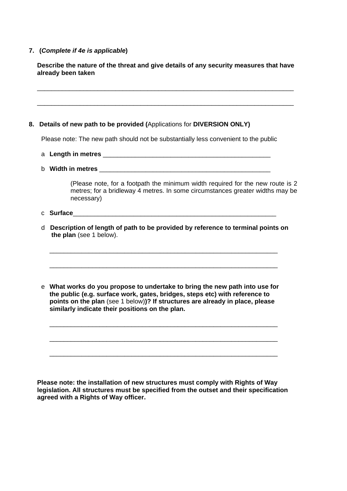#### **7. (***Complete if 4e is applicable***)**

**Describe the nature of the threat and give details of any security measures that have already been taken** 

\_\_\_\_\_\_\_\_\_\_\_\_\_\_\_\_\_\_\_\_\_\_\_\_\_\_\_\_\_\_\_\_\_\_\_\_\_\_\_\_\_\_\_\_\_\_\_\_\_\_\_\_\_\_\_\_\_\_\_\_\_\_\_\_\_\_\_\_\_\_\_\_

\_\_\_\_\_\_\_\_\_\_\_\_\_\_\_\_\_\_\_\_\_\_\_\_\_\_\_\_\_\_\_\_\_\_\_\_\_\_\_\_\_\_\_\_\_\_\_\_\_\_\_\_\_\_\_\_\_\_\_\_\_\_\_\_\_\_\_\_\_\_\_\_

#### **8. Details of new path to be provided (**Applications for **DIVERSION ONLY)**

Please note: The new path should not be substantially less convenient to the public

- a **Length in metres** \_\_\_\_\_\_\_\_\_\_\_\_\_\_\_\_\_\_\_\_\_\_\_\_\_\_\_\_\_\_\_\_\_\_\_\_\_\_\_\_\_\_\_\_\_\_\_
- b **Width in metres** \_\_\_\_\_\_\_\_\_\_\_\_\_\_\_\_\_\_\_\_\_\_\_\_\_\_\_\_\_\_\_\_\_\_\_\_\_\_\_\_\_\_\_\_\_\_\_\_

(Please note, for a footpath the minimum width required for the new route is 2 metres; for a bridleway 4 metres. In some circumstances greater widths may be necessary)

- c **Surface**\_\_\_\_\_\_\_\_\_\_\_\_\_\_\_\_\_\_\_\_\_\_\_\_\_\_\_\_\_\_\_\_\_\_\_\_\_\_\_\_\_\_\_\_\_\_\_\_\_\_\_\_\_\_\_\_\_
- d **Description of length of path to be provided by reference to terminal points on the plan** (see 1 below).

\_\_\_\_\_\_\_\_\_\_\_\_\_\_\_\_\_\_\_\_\_\_\_\_\_\_\_\_\_\_\_\_\_\_\_\_\_\_\_\_\_\_\_\_\_\_\_\_\_\_\_\_\_\_\_\_\_\_\_\_\_\_\_\_

\_\_\_\_\_\_\_\_\_\_\_\_\_\_\_\_\_\_\_\_\_\_\_\_\_\_\_\_\_\_\_\_\_\_\_\_\_\_\_\_\_\_\_\_\_\_\_\_\_\_\_\_\_\_\_\_\_\_\_\_\_\_\_\_

e **What works do you propose to undertake to bring the new path into use for the public (e.g. surface work, gates, bridges, steps etc) with reference to points on the plan** (see 1 below)**)? If structures are already in place, please similarly indicate their positions on the plan.** 

\_\_\_\_\_\_\_\_\_\_\_\_\_\_\_\_\_\_\_\_\_\_\_\_\_\_\_\_\_\_\_\_\_\_\_\_\_\_\_\_\_\_\_\_\_\_\_\_\_\_\_\_\_\_\_\_\_\_\_\_\_\_\_\_

\_\_\_\_\_\_\_\_\_\_\_\_\_\_\_\_\_\_\_\_\_\_\_\_\_\_\_\_\_\_\_\_\_\_\_\_\_\_\_\_\_\_\_\_\_\_\_\_\_\_\_\_\_\_\_\_\_\_\_\_\_\_\_\_

\_\_\_\_\_\_\_\_\_\_\_\_\_\_\_\_\_\_\_\_\_\_\_\_\_\_\_\_\_\_\_\_\_\_\_\_\_\_\_\_\_\_\_\_\_\_\_\_\_\_\_\_\_\_\_\_\_\_\_\_\_\_\_\_

**Please note: the installation of new structures must comply with Rights of Way legislation. All structures must be specified from the outset and their specification agreed with a Rights of Way officer.**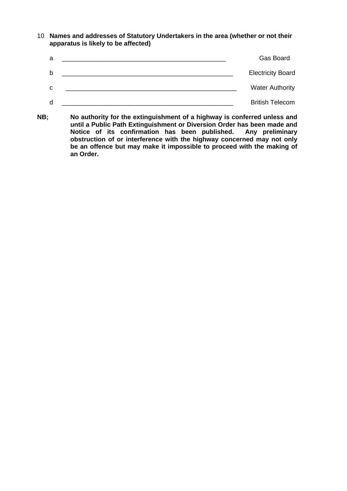10 **Names and addresses of Statutory Undertakers in the area (whether or not their apparatus is likely to be affected)** 

| a | Gas Board                |
|---|--------------------------|
| b | <b>Electricity Board</b> |
| C | <b>Water Authority</b>   |
| d | <b>British Telecom</b>   |

**NB; No authority for the extinguishment of a highway is conferred unless and until a Public Path Extinguishment or Diversion Order has been made and**  Notice of its confirmation has been published. **obstruction of or interference with the highway concerned may not only be an offence but may make it impossible to proceed with the making of an Order.**